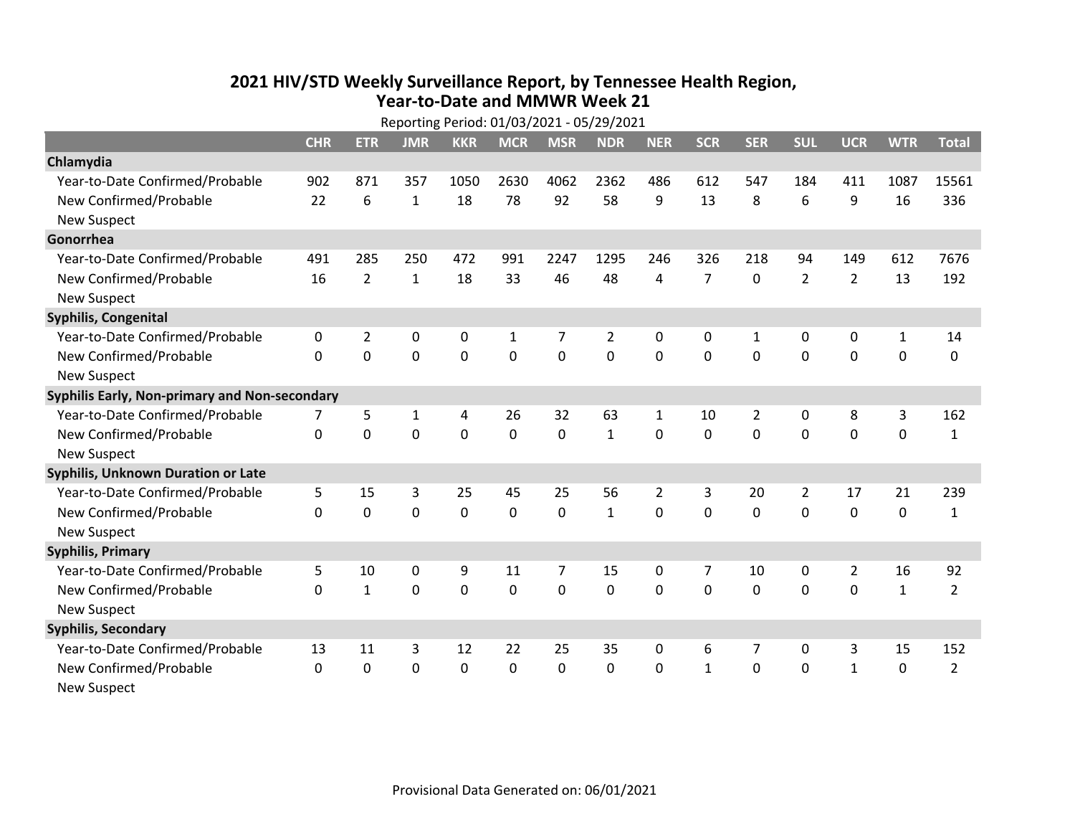## **2021 HIV /STD Weekly Surveillance Report, by Tennessee Health Region, Year‐to‐Date and MMWR Week 21** Reporting Period: 01/03/2021 ‐ 05/29/2021

| Reporting Period: 01/03/2021 - 05/29/2021     |              |                |              |                |              |                |              |                |                |                |                |                |              |                |
|-----------------------------------------------|--------------|----------------|--------------|----------------|--------------|----------------|--------------|----------------|----------------|----------------|----------------|----------------|--------------|----------------|
|                                               | <b>CHR</b>   | <b>ETR</b>     | <b>JMR</b>   | <b>KKR</b>     | <b>MCR</b>   | <b>MSR</b>     | <b>NDR</b>   | <b>NER</b>     | <b>SCR</b>     | <b>SER</b>     | <b>SUL</b>     | <b>UCR</b>     | <b>WTR</b>   | <b>Total</b>   |
| Chlamydia                                     |              |                |              |                |              |                |              |                |                |                |                |                |              |                |
| Year-to-Date Confirmed/Probable               | 902          | 871            | 357          | 1050           | 2630         | 4062           | 2362         | 486            | 612            | 547            | 184            | 411            | 1087         | 15561          |
| New Confirmed/Probable                        | 22           | 6              | $\mathbf{1}$ | 18             | 78           | 92             | 58           | 9              | 13             | 8              | 6              | 9              | 16           | 336            |
| <b>New Suspect</b>                            |              |                |              |                |              |                |              |                |                |                |                |                |              |                |
| Gonorrhea                                     |              |                |              |                |              |                |              |                |                |                |                |                |              |                |
| Year-to-Date Confirmed/Probable               | 491          | 285            | 250          | 472            | 991          | 2247           | 1295         | 246            | 326            | 218            | 94             | 149            | 612          | 7676           |
| New Confirmed/Probable                        | 16           | $\overline{2}$ | 1            | 18             | 33           | 46             | 48           | 4              | $\overline{7}$ | 0              | $\overline{2}$ | $\overline{2}$ | 13           | 192            |
| <b>New Suspect</b>                            |              |                |              |                |              |                |              |                |                |                |                |                |              |                |
| <b>Syphilis, Congenital</b>                   |              |                |              |                |              |                |              |                |                |                |                |                |              |                |
| Year-to-Date Confirmed/Probable               | 0            | 2              | 0            | 0              | $\mathbf{1}$ | 7              | 2            | 0              | 0              | 1              | 0              | 0              | $\mathbf{1}$ | 14             |
| New Confirmed/Probable                        | $\Omega$     | 0              | $\mathbf 0$  | $\overline{0}$ | $\mathbf 0$  | $\overline{0}$ | 0            | $\Omega$       | $\Omega$       | $\Omega$       | $\mathbf 0$    | $\mathbf 0$    | $\mathbf 0$  | 0              |
| <b>New Suspect</b>                            |              |                |              |                |              |                |              |                |                |                |                |                |              |                |
| Syphilis Early, Non-primary and Non-secondary |              |                |              |                |              |                |              |                |                |                |                |                |              |                |
| Year-to-Date Confirmed/Probable               |              | 5              | 1            | 4              | 26           | 32             | 63           | $\mathbf{1}$   | 10             | $\overline{2}$ | 0              | 8              | 3            | 162            |
| New Confirmed/Probable                        | $\mathbf{0}$ | 0              | 0            | 0              | $\mathbf 0$  | $\mathbf 0$    | $\mathbf{1}$ | $\Omega$       | 0              | $\mathbf 0$    | 0              | $\mathbf 0$    | $\mathbf 0$  | $\mathbf{1}$   |
| <b>New Suspect</b>                            |              |                |              |                |              |                |              |                |                |                |                |                |              |                |
| Syphilis, Unknown Duration or Late            |              |                |              |                |              |                |              |                |                |                |                |                |              |                |
| Year-to-Date Confirmed/Probable               | 5            | 15             | 3            | 25             | 45           | 25             | 56           | $\overline{2}$ | 3              | 20             | $\overline{2}$ | 17             | 21           | 239            |
| New Confirmed/Probable                        | $\mathbf{0}$ | $\mathbf 0$    | 0            | 0              | $\mathbf 0$  | $\mathbf 0$    | $\mathbf{1}$ | $\Omega$       | $\Omega$       | 0              | 0              | 0              | $\mathbf 0$  | $\mathbf{1}$   |
| <b>New Suspect</b>                            |              |                |              |                |              |                |              |                |                |                |                |                |              |                |
| <b>Syphilis, Primary</b>                      |              |                |              |                |              |                |              |                |                |                |                |                |              |                |
| Year-to-Date Confirmed/Probable               | 5            | 10             | $\mathbf 0$  | 9              | 11           | 7              | 15           | 0              | $\overline{7}$ | 10             | 0              | $\overline{2}$ | 16           | 92             |
| New Confirmed/Probable                        | $\mathbf{0}$ | $\mathbf{1}$   | $\mathbf 0$  | $\overline{0}$ | $\mathbf 0$  | $\mathbf 0$    | 0            | $\Omega$       | $\Omega$       | 0              | $\mathbf 0$    | $\mathbf 0$    | $\mathbf{1}$ | $\overline{2}$ |
| <b>New Suspect</b>                            |              |                |              |                |              |                |              |                |                |                |                |                |              |                |
| <b>Syphilis, Secondary</b>                    |              |                |              |                |              |                |              |                |                |                |                |                |              |                |
| Year-to-Date Confirmed/Probable               | 13           | 11             | 3            | 12             | 22           | 25             | 35           | $\Omega$       | 6              | 7              | 0              | 3              | 15           | 152            |
| New Confirmed/Probable                        | $\mathbf{0}$ | 0              | 0            | 0              | $\mathbf 0$  | 0              | 0            | $\mathbf{0}$   | $\mathbf{1}$   | 0              | 0              | $\mathbf{1}$   | $\mathbf 0$  | $\overline{2}$ |
| <b>New Suspect</b>                            |              |                |              |                |              |                |              |                |                |                |                |                |              |                |